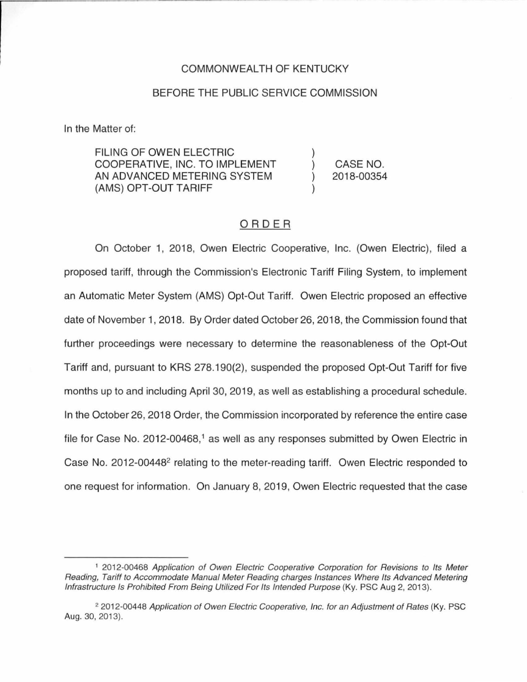#### COMMONWEALTH OF KENTUCKY

#### BEFORE THE PUBLIC SERVICE COMMISSION

In the Matter of:

FILING OF OWEN ELECTRIC COOPERATIVE, INC. TO IMPLEMENT AN ADVANCED METERING SYSTEM (AMS) OPT-OUT TARIFF

) CASE NO. ) 2018-00354

)

)

### ORDER

On October 1, 2018, Owen Electric Cooperative, Inc. (Owen Electric), filed a proposed tariff, through the Commission's Electronic Tariff Filing System, to implement an Automatic Meter System (AMS) Opt-Out Tariff. Owen Electric proposed an effective date of November 1, 2018. By Order dated October 26, 2018, the Commission found that further proceedings were necessary to determine the reasonableness of the Opt-Out Tariff and, pursuant to KRS 278.190(2), suspended the proposed Opt-Out Tariff for five months up to and including April 30, 2019, as well as establishing a procedural schedule. In the October 26, 2018 Order, the Commission incorporated by reference the entire case file for Case No. 2012-00468,<sup>1</sup> as well as any responses submitted by Owen Electric in Case No. 2012-00448<sup>2</sup> relating to the meter-reading tariff. Owen Electric responded to one request for information. On January 8, 2019, Owen Electric requested that the case

<sup>1</sup>2012-00468 Application of Owen Electric Cooperative Corporation for Revisions to Its Meter Reading, Tariff to Accommodate Manual Meter Reading charges Instances Where Its Advanced Metering Infrastructure Is Prohibited From Being Utilized For Its Intended Purpose (Ky. PSC Aug 2, 2013).

<sup>&</sup>lt;sup>2</sup> 2012-00448 Application of Owen Electric Cooperative, Inc. for an Adjustment of Rates (Ky. PSC Aug. 30, 2013).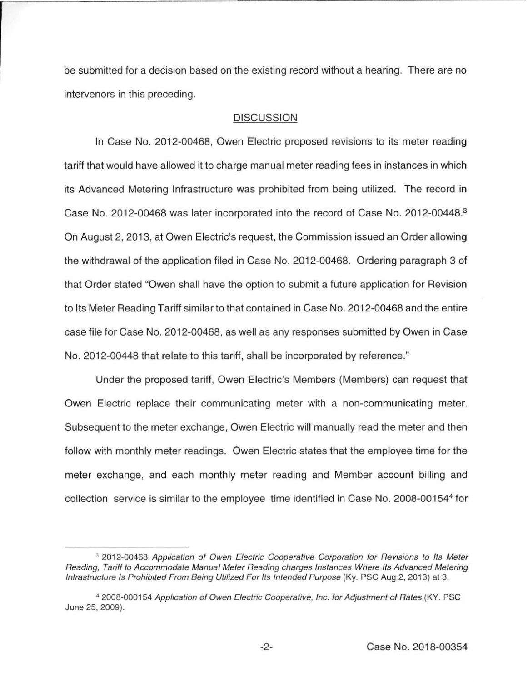be submitted for a decision based on the existing record without a hearing. There are no intervenors in this preceding.

### **DISCUSSION**

In Case No. 2012-00468, Owen Electric proposed revisions to its meter reading tariff that would have allowed it to charge manual meter reading fees in instances in which its Advanced Metering Infrastructure was prohibited from being utilized. The record in Case No. 2012-00468 was later incorporated into the record of Case No. 2012-00448.<sup>3</sup> On August 2, 2013, at Owen Electric's request, the Commission issued an Order allowing the withdrawal of the application filed in Case No. 2012-00468. Ordering paragraph 3 of that Order stated "Owen shall have the option to submit a future application for Revision to Its Meter Reading Tariff similar to that contained in Case No. 2012-00468 and the entire case file for Case No. 2012-00468, as well as any responses submitted by Owen in Case No. 2012-00448 that relate to this tariff, shall be incorporated by reference."

Under the proposed tariff, Owen Electric's Members (Members) can request that Owen Electric replace their communicating meter with a non-communicating meter. Subsequent to the meter exchange, Owen Electric will manually read the meter and then follow with monthly meter readings. Owen Electric states that the employee time for the meter exchange, and each monthly meter reading and Member account billing and collection service is similar to the employee time identified in Case No. 2008-001544 for

<sup>&</sup>lt;sup>3</sup> 2012-00468 Application of Owen Electric Cooperative Corporation for Revisions to Its Meter Reading, Tariff to Accommodate Manual Meter Reading charges Instances Where Its Advanced Metering Infrastructure Is Prohibited From Being Utilized For Its Intended Purpose (Ky. PSC Aug 2, 2013) at 3.

<sup>4</sup>2008-000154 Application of Owen Electric Cooperative, Inc. for Adjustment of Rates (KY. PSC June 25, 2009).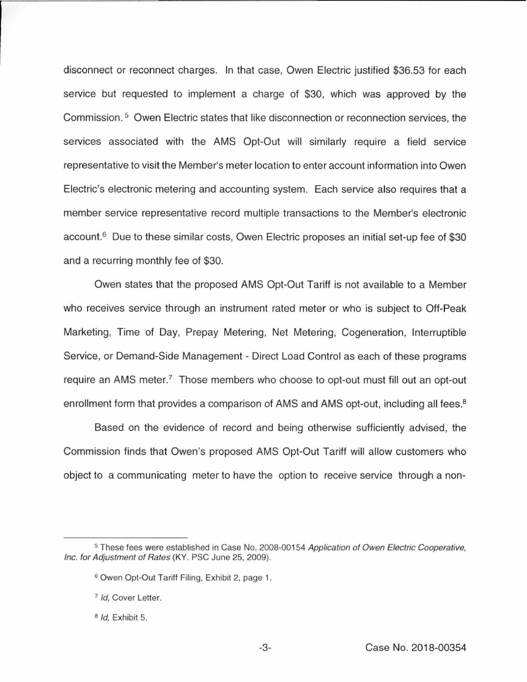disconnect or reconnect charges. In that case, Owen Electric justified \$36.53 for each service but requested to implement a charge of \$30, which was approved by the Commission. 5 Owen Electric states that like disconnection or reconnection services, the services associated with the AMS Opt-Out will similarly require a field service representative to visit the Member's meter location to enter account information into Owen Electric's electronic metering and accounting system. Each service also requires that a member service representative record multiple transactions to the Member's electronic account.<sup>6</sup> Due to these similar costs, Owen Electric proposes an initial set-up fee of \$30 and a recurring monthly fee of \$30.

Owen states that the proposed AMS Opt-Out Tariff is not available to a Member who receives service through an instrument rated meter or who is subject to Off-Peak Marketing, Time of Day, Prepay Metering, Net Metering, Cogeneration, Interruptible Service, or Demand-Side Management - Direct Load Control as each of these programs require an AMS meter.<sup>7</sup> Those members who choose to opt-out must fill out an opt-out enrollment form that provides a comparison of AMS and AMS opt-out, including all fees.<sup>8</sup>

Based on the evidence of record and being otherwise sufficiently advised, the Commission finds that Owen's proposed AMS Opt-Out Tariff will allow customers who object to a communicating meter to have the option to receive service through a non-

<sup>&</sup>lt;sup>5</sup> These fees were established in Case No. 2008-00154 Application of Owen Electric Cooperative, Inc. for Adjustment of Rates (KY. PSC June 25, 2009).

<sup>&</sup>lt;sup>6</sup> Owen Opt-Out Tariff Filing, Exhibit 2, page 1.

<sup>&</sup>lt;sup>7</sup> Id, Cover Letter.

 $B$  *Id*, Exhibit 5.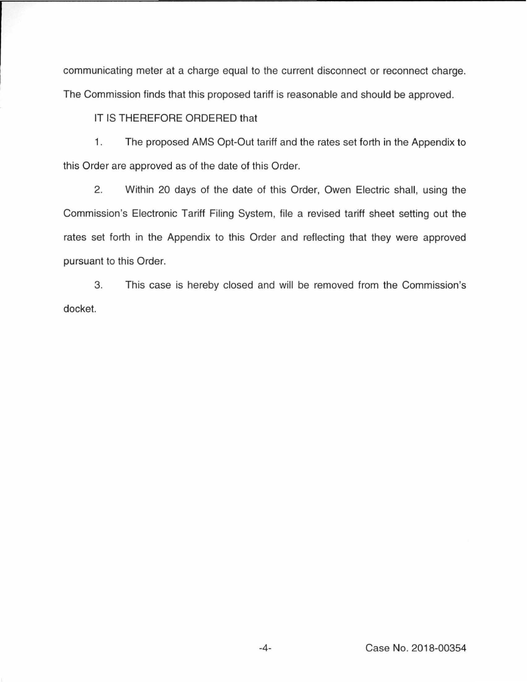communicating meter at a charge equal to the current disconnect or reconnect charge. The Commission finds that this proposed tariff is reasonable and should be approved.

IT IS THEREFORE ORDERED that

1. The proposed AMS Opt-Out tariff and the rates set forth in the Appendix to this Order are approved as of the date of this Order.

2. Within 20 days of the date of this Order, Owen Electric shall, using the Commission's Electronic Tariff Filing System, file a revised tariff sheet setting out the rates set forth in the Appendix to this Order and reflecting that they were approved pursuant to this Order.

3. This case is hereby closed and will be removed from the Commission's docket.

-4- Case No. 2018-00354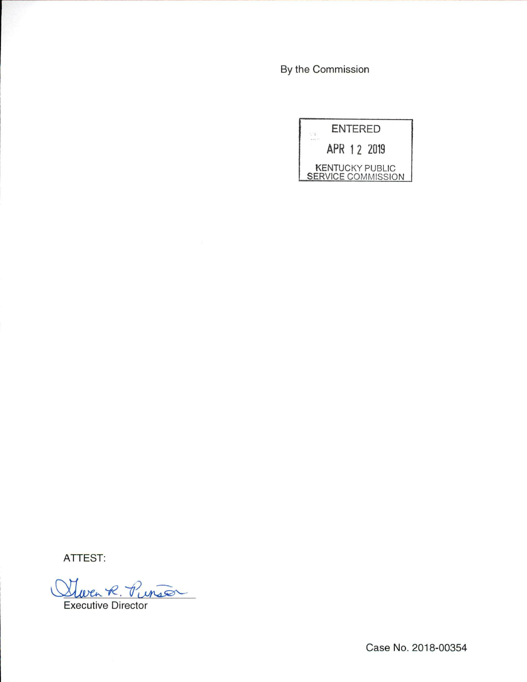By the Commission



ATTEST:

Leven R. Purson

Executive Director

Case No. 2018-00354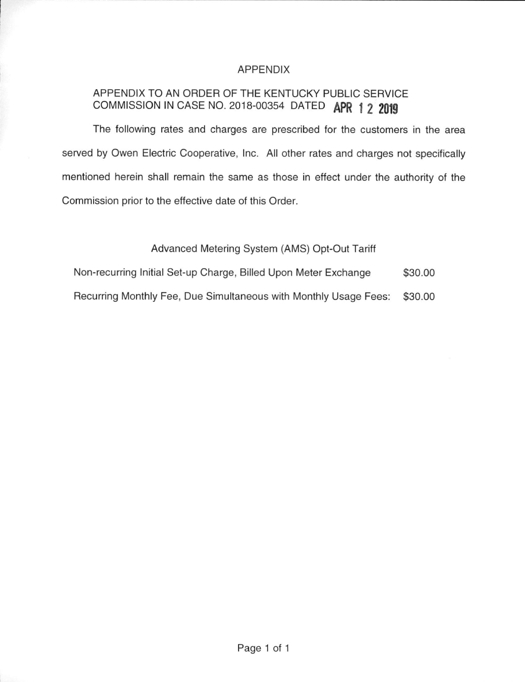## APPENDIX

# APPENDIX TO AN ORDER OF THE KENTUCKY PUBLIC SERVICE COMMISSION IN CASE NO. 2018-00354 DATED **APR 1 2 2019**

The following rates and charges are prescribed for the customers in the area served by Owen Electric Cooperative, Inc. All other rates and charges not specifically mentioned herein shall remain the same as those in effect under the authority of the Commission prior to the effective date of this Order.

## Advanced Metering System (AMS) Opt-Out Tariff

Non-recurring Initial Set-up Charge, Billed Upon Meter Exchange \$30.00 Recurring Monthly Fee, Due Simultaneous with Monthly Usage Fees: \$30.00